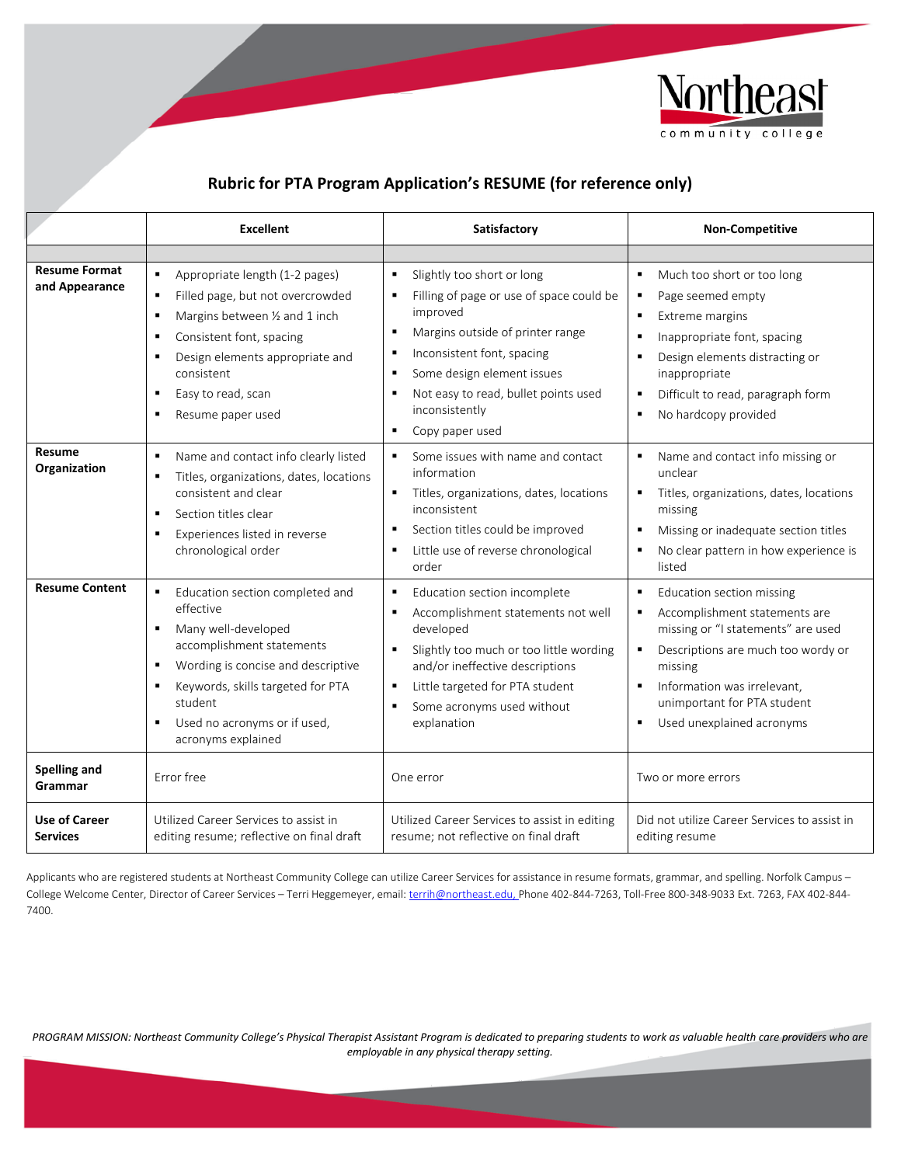

## **Rubric for PTA Program Application's RESUME (for reference only)**

|                                         | <b>Excellent</b>                                                                                                                                                                                                                                                                                                    | Satisfactory                                                                                                                                                                                                                                                                                                    | <b>Non-Competitive</b>                                                                                                                                                                                                                                              |
|-----------------------------------------|---------------------------------------------------------------------------------------------------------------------------------------------------------------------------------------------------------------------------------------------------------------------------------------------------------------------|-----------------------------------------------------------------------------------------------------------------------------------------------------------------------------------------------------------------------------------------------------------------------------------------------------------------|---------------------------------------------------------------------------------------------------------------------------------------------------------------------------------------------------------------------------------------------------------------------|
|                                         |                                                                                                                                                                                                                                                                                                                     |                                                                                                                                                                                                                                                                                                                 |                                                                                                                                                                                                                                                                     |
| <b>Resume Format</b><br>and Appearance  | $\blacksquare$<br>Appropriate length (1-2 pages)<br>Filled page, but not overcrowded<br>$\blacksquare$<br>Margins between 1/2 and 1 inch<br>$\blacksquare$<br>Consistent font, spacing<br>$\blacksquare$<br>Design elements appropriate and<br>٠<br>consistent<br>Easy to read, scan<br>٠<br>Resume paper used<br>٠ | Slightly too short or long<br>٠<br>Filling of page or use of space could be<br>٠<br>improved<br>Margins outside of printer range<br>п<br>Inconsistent font, spacing<br>٠<br>Some design element issues<br>٠<br>Not easy to read, bullet points used<br>п<br>inconsistently<br>Copy paper used<br>$\blacksquare$ | $\blacksquare$<br>Much too short or too long<br>Page seemed empty<br>Extreme margins<br>Inappropriate font, spacing<br>Design elements distracting or<br>٠<br>inappropriate<br>Difficult to read, paragraph form<br>No hardcopy provided                            |
| Resume<br>Organization                  | $\blacksquare$<br>Name and contact info clearly listed<br>Titles, organizations, dates, locations<br>٠<br>consistent and clear<br>Section titles clear<br>$\blacksquare$<br>Experiences listed in reverse<br>٠<br>chronological order                                                                               | Some issues with name and contact<br>$\blacksquare$<br>information<br>Titles, organizations, dates, locations<br>٠<br>inconsistent<br>Section titles could be improved<br>п<br>Little use of reverse chronological<br>٠<br>order                                                                                | Name and contact info missing or<br>unclear<br>Titles, organizations, dates, locations<br>missing<br>Missing or inadequate section titles<br>No clear pattern in how experience is<br>$\blacksquare$<br>listed                                                      |
| <b>Resume Content</b>                   | $\blacksquare$<br>Education section completed and<br>effective<br>Many well-developed<br>٠<br>accomplishment statements<br>Wording is concise and descriptive<br>٠<br>Keywords, skills targeted for PTA<br>٠<br>student<br>Used no acronyms or if used,<br>$\blacksquare$<br>acronyms explained                     | Education section incomplete<br>٠<br>Accomplishment statements not well<br>٠<br>developed<br>Slightly too much or too little wording<br>$\blacksquare$<br>and/or ineffective descriptions<br>Little targeted for PTA student<br>$\blacksquare$<br>Some acronyms used without<br>٠<br>explanation                | Education section missing<br>Accomplishment statements are<br>٠<br>missing or "I statements" are used<br>Descriptions are much too wordy or<br>missing<br>Information was irrelevant,<br>$\blacksquare$<br>unimportant for PTA student<br>Used unexplained acronyms |
| Spelling and<br>Grammar                 | Error free                                                                                                                                                                                                                                                                                                          | One error                                                                                                                                                                                                                                                                                                       | Two or more errors                                                                                                                                                                                                                                                  |
| <b>Use of Career</b><br><b>Services</b> | Utilized Career Services to assist in<br>editing resume; reflective on final draft                                                                                                                                                                                                                                  | Utilized Career Services to assist in editing<br>resume; not reflective on final draft                                                                                                                                                                                                                          | Did not utilize Career Services to assist in<br>editing resume                                                                                                                                                                                                      |

Applicants who are registered students at Northeast Community College can utilize Career Services for assistance in resume formats, grammar, and spelling. Norfolk Campus – College Welcome Center, Director of Career Services – Terri Heggemeyer, email[: terrih@northeast.edu,](mailto:terrih@northeast.edu) Phone 402-844-7263, Toll-Free 800-348-9033 Ext. 7263, FAX 402-844-7400.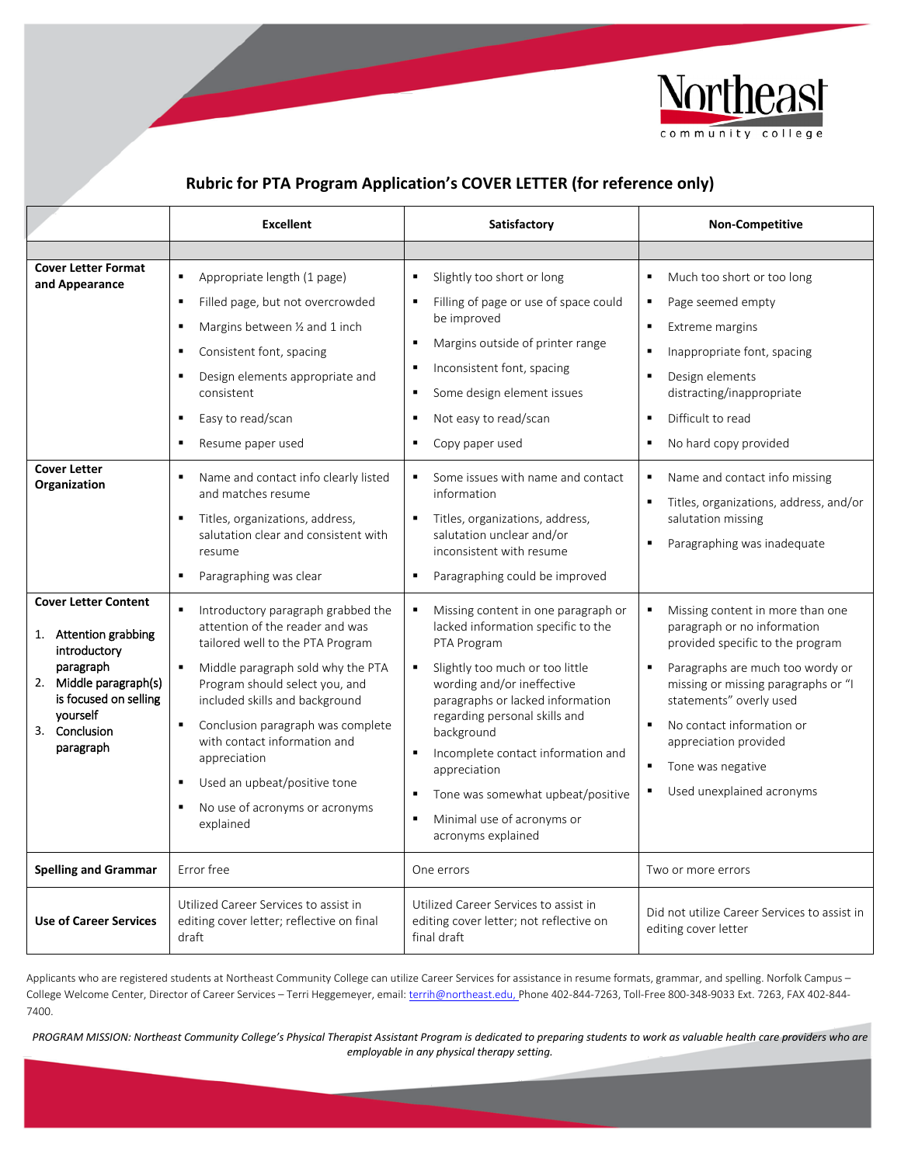

# **Rubric for PTA Program Application's COVER LETTER (for reference only)**

|                                                                                                             | <b>Excellent</b>                                                                                                                                                                                                                                                                                                                                                                                                                         | Satisfactory                                                                                                                                                                                                                                                                                                                                                                                   | <b>Non-Competitive</b>                                                                                                                                                                                                                                                                                                                                                      |
|-------------------------------------------------------------------------------------------------------------|------------------------------------------------------------------------------------------------------------------------------------------------------------------------------------------------------------------------------------------------------------------------------------------------------------------------------------------------------------------------------------------------------------------------------------------|------------------------------------------------------------------------------------------------------------------------------------------------------------------------------------------------------------------------------------------------------------------------------------------------------------------------------------------------------------------------------------------------|-----------------------------------------------------------------------------------------------------------------------------------------------------------------------------------------------------------------------------------------------------------------------------------------------------------------------------------------------------------------------------|
|                                                                                                             |                                                                                                                                                                                                                                                                                                                                                                                                                                          |                                                                                                                                                                                                                                                                                                                                                                                                |                                                                                                                                                                                                                                                                                                                                                                             |
| <b>Cover Letter Format</b><br>and Appearance                                                                | Appropriate length (1 page)<br>٠                                                                                                                                                                                                                                                                                                                                                                                                         | Slightly too short or long<br>٠                                                                                                                                                                                                                                                                                                                                                                | Much too short or too long<br>٠                                                                                                                                                                                                                                                                                                                                             |
| <b>Cover Letter</b><br>Organization                                                                         | Filled page, but not overcrowded<br>$\blacksquare$<br>Margins between 1/2 and 1 inch<br>$\blacksquare$<br>Consistent font, spacing<br>$\blacksquare$<br>Design elements appropriate and<br>$\blacksquare$<br>consistent<br>Easy to read/scan<br>٠<br>Resume paper used<br>٠<br>Name and contact info clearly listed<br>٠<br>and matches resume<br>Titles, organizations, address,<br>п<br>salutation clear and consistent with<br>resume | Filling of page or use of space could<br>be improved<br>Margins outside of printer range<br>٠<br>Inconsistent font, spacing<br>$\blacksquare$<br>Some design element issues<br>Not easy to read/scan<br>٠<br>Copy paper used<br>Some issues with name and contact<br>$\blacksquare$<br>information<br>Titles, organizations, address,<br>salutation unclear and/or<br>inconsistent with resume | Page seemed empty<br>п<br>Extreme margins<br>٠<br>Inappropriate font, spacing<br>п<br>Design elements<br>٠<br>distracting/inappropriate<br>Difficult to read<br>$\blacksquare$<br>No hard copy provided<br>$\blacksquare$<br>Name and contact info missing<br>Titles, organizations, address, and/or<br>salutation missing<br>$\blacksquare$<br>Paragraphing was inadequate |
| <b>Cover Letter Content</b><br>1. Attention grabbing<br>introductory<br>paragraph<br>2. Middle paragraph(s) | Paragraphing was clear<br>٠<br>Introductory paragraph grabbed the<br>٠<br>attention of the reader and was<br>tailored well to the PTA Program<br>Middle paragraph sold why the PTA<br>Program should select you, and                                                                                                                                                                                                                     | Paragraphing could be improved<br>Missing content in one paragraph or<br>٠<br>lacked information specific to the<br>PTA Program<br>Slightly too much or too little<br>$\blacksquare$<br>wording and/or ineffective                                                                                                                                                                             | Missing content in more than one<br>paragraph or no information<br>provided specific to the program<br>Paragraphs are much too wordy or<br>$\blacksquare$<br>missing or missing paragraphs or "I                                                                                                                                                                            |
| is focused on selling<br>vourself<br>3. Conclusion<br>paragraph                                             | included skills and background<br>Conclusion paragraph was complete<br>$\blacksquare$<br>with contact information and<br>appreciation<br>Used an upbeat/positive tone<br>$\blacksquare$<br>No use of acronyms or acronyms<br>٠<br>explained                                                                                                                                                                                              | paragraphs or lacked information<br>regarding personal skills and<br>background<br>Incomplete contact information and<br>٠<br>appreciation<br>Tone was somewhat upbeat/positive<br>٠<br>Minimal use of acronyms or<br>٠<br>acronyms explained                                                                                                                                                  | statements" overly used<br>No contact information or<br>$\blacksquare$<br>appreciation provided<br>Tone was negative<br>$\blacksquare$<br>Used unexplained acronyms                                                                                                                                                                                                         |
| <b>Spelling and Grammar</b>                                                                                 | Error free                                                                                                                                                                                                                                                                                                                                                                                                                               | One errors                                                                                                                                                                                                                                                                                                                                                                                     | Two or more errors                                                                                                                                                                                                                                                                                                                                                          |
| <b>Use of Career Services</b>                                                                               | Utilized Career Services to assist in<br>editing cover letter; reflective on final<br>draft                                                                                                                                                                                                                                                                                                                                              | Utilized Career Services to assist in<br>editing cover letter; not reflective on<br>final draft                                                                                                                                                                                                                                                                                                | Did not utilize Career Services to assist in<br>editing cover letter                                                                                                                                                                                                                                                                                                        |

Applicants who are registered students at Northeast Community College can utilize Career Services for assistance in resume formats, grammar, and spelling. Norfolk Campus – College Welcome Center, Director of Career Services – Terri Heggemeyer, email[: terrih@northeast.edu,](mailto:terrih@northeast.edu) Phone 402-844-7263, Toll-Free 800-348-9033 Ext. 7263, FAX 402-844-7400.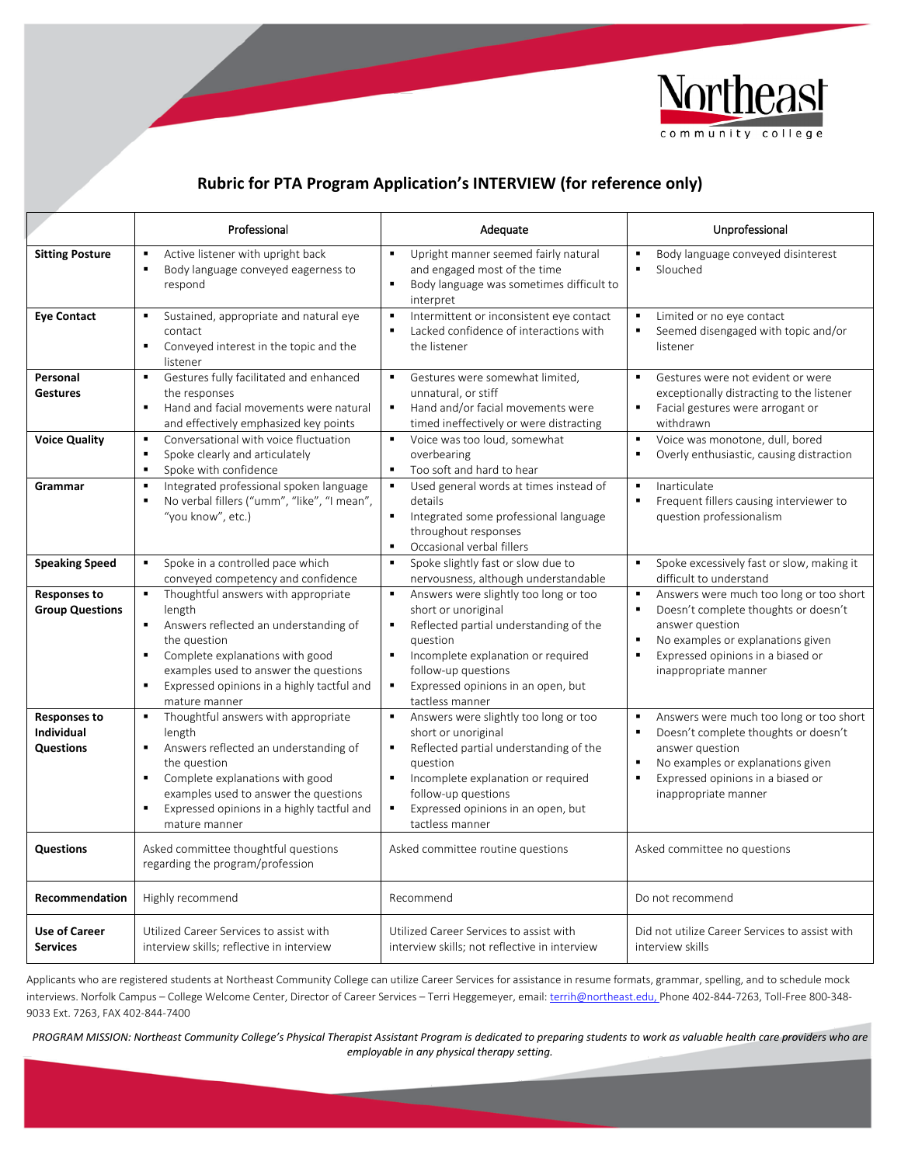

### **Rubric for PTA Program Application's INTERVIEW (for reference only)**

|                                                       | Professional                                                                                                                                                                                                                                                                                                              | Adequate                                                                                                                                                                                                                                                                                                         | Unprofessional                                                                                                                                                                                                                                             |
|-------------------------------------------------------|---------------------------------------------------------------------------------------------------------------------------------------------------------------------------------------------------------------------------------------------------------------------------------------------------------------------------|------------------------------------------------------------------------------------------------------------------------------------------------------------------------------------------------------------------------------------------------------------------------------------------------------------------|------------------------------------------------------------------------------------------------------------------------------------------------------------------------------------------------------------------------------------------------------------|
| <b>Sitting Posture</b>                                | Active listener with upright back<br>$\blacksquare$<br>Body language conveyed eagerness to<br>$\blacksquare$<br>respond                                                                                                                                                                                                   | Upright manner seemed fairly natural<br>$\blacksquare$<br>and engaged most of the time<br>$\blacksquare$<br>Body language was sometimes difficult to<br>interpret                                                                                                                                                | Body language conveyed disinterest<br>$\blacksquare$<br>Slouched                                                                                                                                                                                           |
| <b>Eye Contact</b>                                    | Sustained, appropriate and natural eye<br>$\blacksquare$<br>contact<br>Conveyed interest in the topic and the<br>×<br>listener                                                                                                                                                                                            | Intermittent or inconsistent eye contact<br>$\blacksquare$<br>$\blacksquare$<br>Lacked confidence of interactions with<br>the listener                                                                                                                                                                           | Limited or no eye contact<br>Seemed disengaged with topic and/or<br>listener                                                                                                                                                                               |
| Personal<br><b>Gestures</b>                           | Gestures fully facilitated and enhanced<br>$\blacksquare$<br>the responses<br>Hand and facial movements were natural<br>$\blacksquare$<br>and effectively emphasized key points                                                                                                                                           | $\blacksquare$<br>Gestures were somewhat limited,<br>unnatural, or stiff<br>Hand and/or facial movements were<br>$\blacksquare$<br>timed ineffectively or were distracting                                                                                                                                       | Gestures were not evident or were<br>exceptionally distracting to the listener<br>٠.<br>Facial gestures were arrogant or<br>withdrawn                                                                                                                      |
| <b>Voice Quality</b>                                  | Conversational with voice fluctuation<br>$\blacksquare$<br>Spoke clearly and articulately<br>٠<br>Spoke with confidence<br>$\blacksquare$                                                                                                                                                                                 | Voice was too loud, somewhat<br>$\blacksquare$<br>overbearing<br>Too soft and hard to hear<br>$\blacksquare$                                                                                                                                                                                                     | Voice was monotone, dull, bored<br>$\blacksquare$<br>Overly enthusiastic, causing distraction                                                                                                                                                              |
| Grammar                                               | Integrated professional spoken language<br>$\blacksquare$<br>No verbal fillers ("umm", "like", "I mean",<br>$\blacksquare$<br>"you know", etc.)                                                                                                                                                                           | Used general words at times instead of<br>$\blacksquare$<br>details<br>$\blacksquare$<br>Integrated some professional language<br>throughout responses<br>Occasional verbal fillers<br>$\blacksquare$                                                                                                            | Inarticulate<br>$\blacksquare$<br>$\blacksquare$<br>Frequent fillers causing interviewer to<br>question professionalism                                                                                                                                    |
| <b>Speaking Speed</b>                                 | Spoke in a controlled pace which<br>$\blacksquare$<br>conveyed competency and confidence                                                                                                                                                                                                                                  | Spoke slightly fast or slow due to<br>$\blacksquare$<br>nervousness, although understandable                                                                                                                                                                                                                     | Spoke excessively fast or slow, making it<br>$\blacksquare$<br>difficult to understand                                                                                                                                                                     |
| <b>Responses to</b><br><b>Group Questions</b>         | Thoughtful answers with appropriate<br>$\blacksquare$<br>length<br>Answers reflected an understanding of<br>$\blacksquare$<br>the question<br>Complete explanations with good<br>$\blacksquare$<br>examples used to answer the questions<br>Expressed opinions in a highly tactful and<br>٠<br>mature manner              | Answers were slightly too long or too<br>$\blacksquare$<br>short or unoriginal<br>Reflected partial understanding of the<br>٠<br>question<br>Incomplete explanation or required<br>٠<br>follow-up questions<br>$\blacksquare$<br>Expressed opinions in an open, but<br>tactless manner                           | Answers were much too long or too short<br>$\blacksquare$<br>$\blacksquare$<br>Doesn't complete thoughts or doesn't<br>answer question<br>$\blacksquare$<br>No examples or explanations given<br>Expressed opinions in a biased or<br>inappropriate manner |
| <b>Responses to</b><br>Individual<br><b>Questions</b> | Thoughtful answers with appropriate<br>$\blacksquare$<br>length<br>Answers reflected an understanding of<br>$\blacksquare$<br>the question<br>Complete explanations with good<br>$\blacksquare$<br>examples used to answer the questions<br>$\blacksquare$<br>Expressed opinions in a highly tactful and<br>mature manner | $\blacksquare$<br>Answers were slightly too long or too<br>short or unoriginal<br>Reflected partial understanding of the<br>$\blacksquare$<br>question<br>Incomplete explanation or required<br>$\blacksquare$<br>follow-up questions<br>Expressed opinions in an open, but<br>$\blacksquare$<br>tactless manner | Answers were much too long or too short<br>×<br>Doesn't complete thoughts or doesn't<br>answer question<br>No examples or explanations given<br>×<br>$\blacksquare$<br>Expressed opinions in a biased or<br>inappropriate manner                           |
| <b>Questions</b>                                      | Asked committee thoughtful questions<br>regarding the program/profession                                                                                                                                                                                                                                                  | Asked committee routine questions                                                                                                                                                                                                                                                                                | Asked committee no questions                                                                                                                                                                                                                               |
| Recommendation                                        | Highly recommend                                                                                                                                                                                                                                                                                                          | Recommend                                                                                                                                                                                                                                                                                                        | Do not recommend                                                                                                                                                                                                                                           |
| <b>Use of Career</b><br><b>Services</b>               | Utilized Career Services to assist with<br>interview skills; reflective in interview                                                                                                                                                                                                                                      | Utilized Career Services to assist with<br>interview skills; not reflective in interview                                                                                                                                                                                                                         | Did not utilize Career Services to assist with<br>interview skills                                                                                                                                                                                         |

Applicants who are registered students at Northeast Community College can utilize Career Services for assistance in resume formats, grammar, spelling, and to schedule mock interviews. Norfolk Campus - College Welcome Center, Director of Career Services - Terri Heggemeyer, email[: terrih@northeast.edu,](mailto:terrih@northeast.edu) Phone 402-844-7263, Toll-Free 800-348-9033 Ext. 7263, FAX 402-844-7400